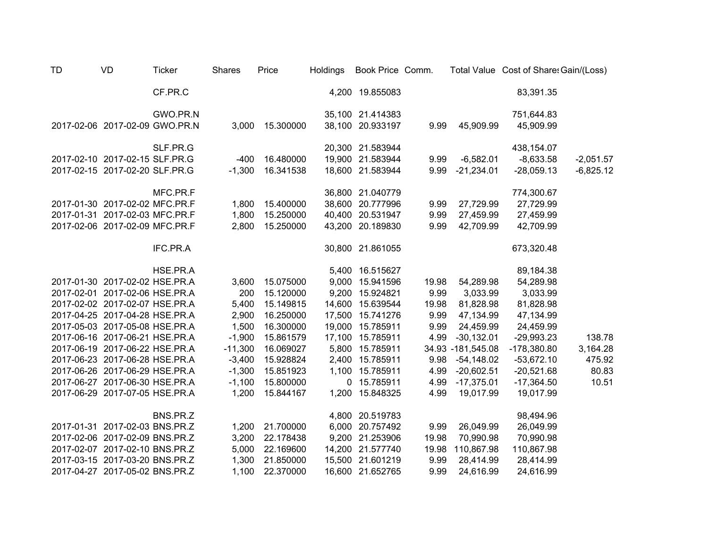| <b>TD</b> | VD                             | <b>Ticker</b> | <b>Shares</b> | Price     | <b>Holdings</b> | Book Price Comm. |       |                    | Total Value Cost of Share: Gain/(Loss) |             |
|-----------|--------------------------------|---------------|---------------|-----------|-----------------|------------------|-------|--------------------|----------------------------------------|-------------|
|           |                                | CF.PR.C       |               |           |                 | 4,200 19.855083  |       |                    | 83,391.35                              |             |
|           |                                | GWO.PR.N      |               |           |                 | 35,100 21.414383 |       |                    | 751,644.83                             |             |
|           | 2017-02-06 2017-02-09 GWO.PR.N |               | 3,000         | 15.300000 |                 | 38,100 20.933197 | 9.99  | 45,909.99          | 45,909.99                              |             |
|           |                                | SLF.PR.G      |               |           |                 | 20,300 21.583944 |       |                    | 438,154.07                             |             |
|           | 2017-02-10 2017-02-15 SLF.PR.G |               | $-400$        | 16.480000 |                 | 19,900 21.583944 | 9.99  | $-6,582.01$        | $-8,633.58$                            | $-2,051.57$ |
|           | 2017-02-15 2017-02-20 SLF.PR.G |               | $-1,300$      | 16.341538 |                 | 18,600 21.583944 | 9.99  | $-21,234.01$       | $-28,059.13$                           | $-6,825.12$ |
|           |                                | MFC.PR.F      |               |           |                 | 36,800 21.040779 |       |                    | 774,300.67                             |             |
|           | 2017-01-30 2017-02-02 MFC.PR.F |               | 1,800         | 15.400000 |                 | 38,600 20.777996 | 9.99  | 27,729.99          | 27,729.99                              |             |
|           | 2017-01-31 2017-02-03 MFC.PR.F |               | 1,800         | 15.250000 |                 | 40,400 20.531947 | 9.99  | 27,459.99          | 27,459.99                              |             |
|           | 2017-02-06 2017-02-09 MFC.PR.F |               | 2,800         | 15.250000 |                 | 43,200 20.189830 | 9.99  | 42,709.99          | 42,709.99                              |             |
|           |                                | IFC.PR.A      |               |           |                 | 30,800 21.861055 |       |                    | 673,320.48                             |             |
|           |                                | HSE.PR.A      |               |           |                 | 5,400 16.515627  |       |                    | 89,184.38                              |             |
|           | 2017-01-30 2017-02-02 HSE.PR.A |               | 3,600         | 15.075000 |                 | 9,000 15.941596  | 19.98 | 54,289.98          | 54,289.98                              |             |
|           | 2017-02-01 2017-02-06 HSE.PR.A |               | 200           | 15.120000 |                 | 9,200 15.924821  | 9.99  | 3,033.99           | 3,033.99                               |             |
|           | 2017-02-02 2017-02-07 HSE.PR.A |               | 5,400         | 15.149815 |                 | 14,600 15.639544 | 19.98 | 81,828.98          | 81,828.98                              |             |
|           | 2017-04-25 2017-04-28 HSE.PR.A |               | 2,900         | 16.250000 |                 | 17,500 15.741276 | 9.99  | 47,134.99          | 47,134.99                              |             |
|           | 2017-05-03 2017-05-08 HSE.PR.A |               | 1,500         | 16.300000 |                 | 19,000 15.785911 | 9.99  | 24,459.99          | 24,459.99                              |             |
|           | 2017-06-16 2017-06-21 HSE.PR.A |               | $-1,900$      | 15.861579 |                 | 17,100 15.785911 | 4.99  | $-30,132.01$       | $-29,993.23$                           | 138.78      |
|           | 2017-06-19 2017-06-22 HSE.PR.A |               | $-11,300$     | 16.069027 |                 | 5,800 15.785911  |       | 34.93 - 181,545.08 | $-178,380.80$                          | 3,164.28    |
|           | 2017-06-23 2017-06-28 HSE.PR.A |               | $-3,400$      | 15.928824 |                 | 2,400 15.785911  | 9.98  | $-54,148.02$       | $-53,672.10$                           | 475.92      |
|           | 2017-06-26 2017-06-29 HSE.PR.A |               | $-1,300$      | 15.851923 |                 | 1,100 15.785911  | 4.99  | $-20,602.51$       | $-20,521.68$                           | 80.83       |
|           | 2017-06-27 2017-06-30 HSE.PR.A |               | $-1,100$      | 15.800000 |                 | 0 15.785911      | 4.99  | $-17,375.01$       | $-17,364.50$                           | 10.51       |
|           | 2017-06-29 2017-07-05 HSE.PR.A |               | 1,200         | 15.844167 |                 | 1,200 15.848325  | 4.99  | 19,017.99          | 19,017.99                              |             |
|           |                                | BNS.PR.Z      |               |           |                 | 4,800 20.519783  |       |                    | 98,494.96                              |             |
|           | 2017-01-31 2017-02-03 BNS.PR.Z |               | 1,200         | 21.700000 |                 | 6,000 20.757492  | 9.99  | 26,049.99          | 26,049.99                              |             |
|           | 2017-02-06 2017-02-09 BNS.PR.Z |               | 3,200         | 22.178438 |                 | 9,200 21.253906  | 19.98 | 70,990.98          | 70,990.98                              |             |
|           | 2017-02-07 2017-02-10 BNS.PR.Z |               | 5,000         | 22.169600 |                 | 14,200 21.577740 | 19.98 | 110,867.98         | 110,867.98                             |             |
|           | 2017-03-15 2017-03-20 BNS.PR.Z |               | 1,300         | 21.850000 |                 | 15,500 21.601219 | 9.99  | 28,414.99          | 28,414.99                              |             |
|           | 2017-04-27 2017-05-02 BNS.PR.Z |               | 1,100         | 22.370000 |                 | 16,600 21.652765 | 9.99  | 24,616.99          | 24,616.99                              |             |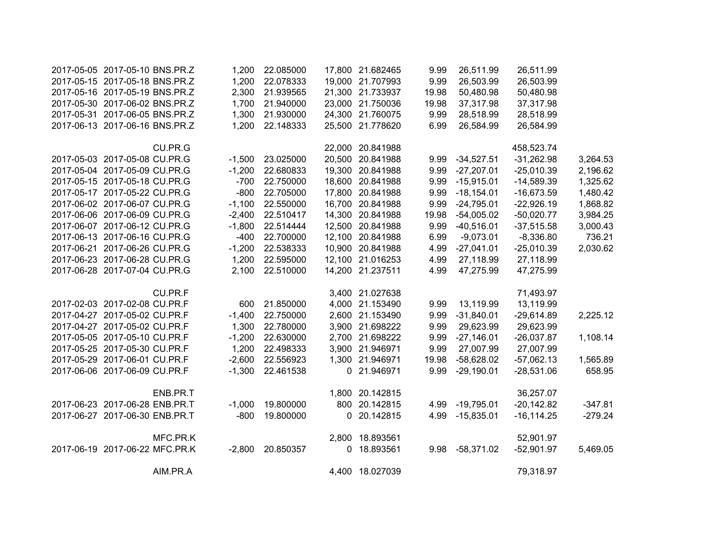| 2017-05-05 2017-05-10 BNS.PR.Z |          | 1,200    | 22.085000 | 17,800 21.682465 | 9.99  | 26,511.99       | 26,511.99     |           |
|--------------------------------|----------|----------|-----------|------------------|-------|-----------------|---------------|-----------|
| 2017-05-15 2017-05-18 BNS.PR.Z |          | 1,200    | 22.078333 | 19,000 21.707993 | 9.99  | 26,503.99       | 26,503.99     |           |
| 2017-05-16 2017-05-19 BNS.PR.Z |          | 2,300    | 21.939565 | 21,300 21.733937 | 19.98 | 50,480.98       | 50,480.98     |           |
| 2017-05-30 2017-06-02 BNS.PR.Z |          | 1,700    | 21.940000 | 23,000 21.750036 | 19.98 | 37,317.98       | 37,317.98     |           |
| 2017-05-31 2017-06-05 BNS.PR.Z |          | 1,300    | 21.930000 | 24,300 21.760075 | 9.99  | 28,518.99       | 28,518.99     |           |
| 2017-06-13 2017-06-16 BNS.PR.Z |          | 1,200    | 22.148333 | 25,500 21.778620 | 6.99  | 26,584.99       | 26,584.99     |           |
|                                | CU.PR.G  |          |           | 22,000 20.841988 |       |                 | 458,523.74    |           |
| 2017-05-03 2017-05-08 CU.PR.G  |          | $-1,500$ | 23.025000 | 20,500 20.841988 | 9.99  | $-34,527.51$    | $-31,262.98$  | 3,264.53  |
| 2017-05-04 2017-05-09 CU.PR.G  |          | $-1,200$ | 22.680833 | 19,300 20.841988 | 9.99  | $-27,207.01$    | $-25,010.39$  | 2,196.62  |
| 2017-05-15 2017-05-18 CU.PR.G  |          | $-700$   | 22.750000 | 18,600 20.841988 | 9.99  | $-15,915.01$    | $-14,589.39$  | 1,325.62  |
| 2017-05-17 2017-05-22 CU.PR.G  |          | $-800$   | 22.705000 | 17,800 20.841988 | 9.99  | $-18,154.01$    | $-16,673.59$  | 1,480.42  |
| 2017-06-02 2017-06-07 CU.PR.G  |          | $-1,100$ | 22.550000 | 16,700 20.841988 | 9.99  | $-24,795.01$    | $-22,926.19$  | 1,868.82  |
| 2017-06-06 2017-06-09 CU.PR.G  |          | $-2,400$ | 22.510417 | 14,300 20.841988 | 19.98 | $-54,005.02$    | $-50,020.77$  | 3,984.25  |
| 2017-06-07 2017-06-12 CU.PR.G  |          | $-1,800$ | 22.514444 | 12,500 20.841988 | 9.99  | $-40,516.01$    | $-37,515.58$  | 3,000.43  |
| 2017-06-13 2017-06-16 CU.PR.G  |          | $-400$   | 22.700000 | 12,100 20.841988 | 6.99  | $-9,073.01$     | $-8,336.80$   | 736.21    |
| 2017-06-21 2017-06-26 CU.PR.G  |          | $-1,200$ | 22.538333 | 10,900 20.841988 | 4.99  | $-27,041.01$    | $-25,010.39$  | 2,030.62  |
| 2017-06-23 2017-06-28 CU.PR.G  |          | 1,200    | 22.595000 | 12,100 21.016253 | 4.99  | 27,118.99       | 27,118.99     |           |
| 2017-06-28 2017-07-04 CU.PR.G  |          | 2,100    | 22.510000 | 14,200 21.237511 | 4.99  | 47,275.99       | 47,275.99     |           |
|                                | CU.PR.F  |          |           | 3,400 21.027638  |       |                 | 71,493.97     |           |
| 2017-02-03 2017-02-08 CU.PR.F  |          | 600      | 21.850000 | 4,000 21.153490  | 9.99  | 13,119.99       | 13,119.99     |           |
| 2017-04-27 2017-05-02 CU.PR.F  |          | $-1,400$ | 22.750000 | 2,600 21.153490  | 9.99  | $-31,840.01$    | $-29,614.89$  | 2,225.12  |
| 2017-04-27 2017-05-02 CU.PR.F  |          | 1,300    | 22.780000 | 3,900 21.698222  | 9.99  | 29,623.99       | 29,623.99     |           |
| 2017-05-05 2017-05-10 CU.PR.F  |          | $-1,200$ | 22.630000 | 2,700 21.698222  | 9.99  | $-27,146.01$    | $-26,037.87$  | 1,108.14  |
| 2017-05-25 2017-05-30 CU.PR.F  |          | 1,200    | 22.498333 | 3,900 21.946971  | 9.99  | 27,007.99       | 27,007.99     |           |
| 2017-05-29 2017-06-01 CU.PR.F  |          | $-2,600$ | 22.556923 | 1,300 21.946971  | 19.98 | $-58,628.02$    | $-57,062.13$  | 1,565.89  |
| 2017-06-06 2017-06-09 CU.PR.F  |          | $-1,300$ | 22.461538 | 0 21.946971      | 9.99  | $-29,190.01$    | $-28,531.06$  | 658.95    |
|                                | ENB.PR.T |          |           | 1,800 20.142815  |       |                 | 36,257.07     |           |
| 2017-06-23 2017-06-28 ENB.PR.T |          | $-1,000$ | 19.800000 | 800 20.142815    |       | 4.99 -19,795.01 | $-20,142.82$  | $-347.81$ |
| 2017-06-27 2017-06-30 ENB.PR.T |          | $-800$   | 19.800000 | 0 20.142815      | 4.99  | $-15,835.01$    | $-16, 114.25$ | $-279.24$ |
|                                | MFC.PR.K |          |           | 2,800 18.893561  |       |                 | 52,901.97     |           |
| 2017-06-19 2017-06-22 MFC.PR.K |          | $-2,800$ | 20.850357 | 0 18.893561      | 9.98  | $-58,371.02$    | $-52,901.97$  | 5,469.05  |
|                                | AIM.PR.A |          |           | 4,400 18.027039  |       |                 | 79,318.97     |           |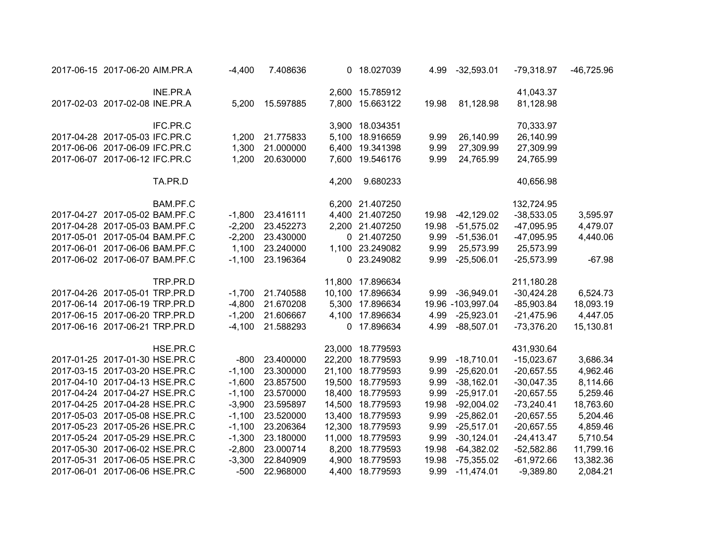| 2017-06-15 2017-06-20 AIM.PR.A |          | $-4,400$ | 7.408636  |       | 0 18.027039      | 4.99  | $-32,593.01$      | $-79,318.97$ | $-46,725.96$ |
|--------------------------------|----------|----------|-----------|-------|------------------|-------|-------------------|--------------|--------------|
|                                | INE.PR.A |          |           |       | 2,600 15.785912  |       |                   | 41,043.37    |              |
| 2017-02-03 2017-02-08 INE.PR.A |          | 5,200    | 15.597885 |       | 7,800 15.663122  | 19.98 | 81,128.98         | 81,128.98    |              |
|                                | IFC.PR.C |          |           |       | 3,900 18.034351  |       |                   | 70,333.97    |              |
| 2017-04-28 2017-05-03 IFC.PR.C |          | 1,200    | 21.775833 |       | 5,100 18.916659  | 9.99  | 26,140.99         | 26,140.99    |              |
| 2017-06-06 2017-06-09 IFC.PR.C |          | 1,300    | 21.000000 |       | 6,400 19.341398  | 9.99  | 27,309.99         | 27,309.99    |              |
| 2017-06-07 2017-06-12 IFC.PR.C |          | 1,200    | 20.630000 |       | 7,600 19.546176  | 9.99  | 24,765.99         | 24,765.99    |              |
|                                | TA.PR.D  |          |           | 4,200 | 9.680233         |       |                   | 40,656.98    |              |
|                                | BAM.PF.C |          |           |       | 6,200 21.407250  |       |                   | 132,724.95   |              |
| 2017-04-27 2017-05-02 BAM.PF.C |          | $-1,800$ | 23.416111 |       | 4,400 21.407250  | 19.98 | $-42,129.02$      | $-38,533.05$ | 3,595.97     |
| 2017-04-28 2017-05-03 BAM.PF.C |          | $-2,200$ | 23.452273 |       | 2,200 21.407250  | 19.98 | $-51,575.02$      | $-47,095.95$ | 4,479.07     |
| 2017-05-01 2017-05-04 BAM.PF.C |          | $-2,200$ | 23.430000 |       | 0 21.407250      | 9.99  | $-51,536.01$      | $-47,095.95$ | 4,440.06     |
| 2017-06-01 2017-06-06 BAM.PF.C |          | 1,100    | 23.240000 |       | 1,100 23.249082  | 9.99  | 25,573.99         | 25,573.99    |              |
| 2017-06-02 2017-06-07 BAM.PF.C |          | $-1,100$ | 23.196364 |       | 0 23.249082      | 9.99  | $-25,506.01$      | $-25,573.99$ | $-67.98$     |
|                                | TRP.PR.D |          |           |       | 11,800 17.896634 |       |                   | 211,180.28   |              |
| 2017-04-26 2017-05-01 TRP.PR.D |          | $-1,700$ | 21.740588 |       | 10,100 17.896634 | 9.99  | $-36,949.01$      | $-30,424.28$ | 6,524.73     |
| 2017-06-14 2017-06-19 TRP.PR.D |          | $-4,800$ | 21.670208 |       | 5,300 17.896634  |       | 19.96 -103,997.04 | $-85,903.84$ | 18,093.19    |
| 2017-06-15 2017-06-20 TRP.PR.D |          | $-1,200$ | 21.606667 |       | 4,100 17.896634  | 4.99  | $-25,923.01$      | $-21,475.96$ | 4,447.05     |
| 2017-06-16 2017-06-21 TRP.PR.D |          | $-4,100$ | 21.588293 |       | 0 17.896634      | 4.99  | $-88,507.01$      | $-73,376.20$ | 15,130.81    |
|                                | HSE.PR.C |          |           |       | 23,000 18.779593 |       |                   | 431,930.64   |              |
| 2017-01-25 2017-01-30 HSE.PR.C |          | $-800$   | 23.400000 |       | 22,200 18.779593 | 9.99  | $-18,710.01$      | $-15,023.67$ | 3,686.34     |
| 2017-03-15 2017-03-20 HSE.PR.C |          | $-1,100$ | 23.300000 |       | 21,100 18.779593 | 9.99  | $-25,620.01$      | $-20,657.55$ | 4,962.46     |
| 2017-04-10 2017-04-13 HSE.PR.C |          | $-1,600$ | 23.857500 |       | 19,500 18.779593 | 9.99  | $-38,162.01$      | $-30,047.35$ | 8,114.66     |
| 2017-04-24 2017-04-27 HSE.PR.C |          | $-1,100$ | 23.570000 |       | 18,400 18.779593 | 9.99  | $-25,917.01$      | $-20,657.55$ | 5,259.46     |
| 2017-04-25 2017-04-28 HSE.PR.C |          | $-3,900$ | 23.595897 |       | 14,500 18.779593 | 19.98 | $-92,004.02$      | $-73,240.41$ | 18,763.60    |
| 2017-05-03 2017-05-08 HSE.PR.C |          | $-1,100$ | 23.520000 |       | 13,400 18.779593 | 9.99  | $-25,862.01$      | $-20,657.55$ | 5,204.46     |
| 2017-05-23 2017-05-26 HSE.PR.C |          | $-1,100$ | 23.206364 |       | 12,300 18.779593 | 9.99  | $-25,517.01$      | $-20,657.55$ | 4,859.46     |
| 2017-05-24 2017-05-29 HSE.PR.C |          | $-1,300$ | 23.180000 |       | 11,000 18.779593 | 9.99  | $-30,124.01$      | $-24,413.47$ | 5,710.54     |
| 2017-05-30 2017-06-02 HSE.PR.C |          | $-2,800$ | 23.000714 |       | 8,200 18.779593  | 19.98 | $-64,382.02$      | $-52,582.86$ | 11,799.16    |
| 2017-05-31 2017-06-05 HSE.PR.C |          | $-3,300$ | 22.840909 |       | 4,900 18.779593  | 19.98 | $-75,355.02$      | $-61,972.66$ | 13,382.36    |
| 2017-06-01 2017-06-06 HSE.PR.C |          | $-500$   | 22.968000 |       | 4,400 18.779593  | 9.99  | $-11,474.01$      | $-9,389.80$  | 2,084.21     |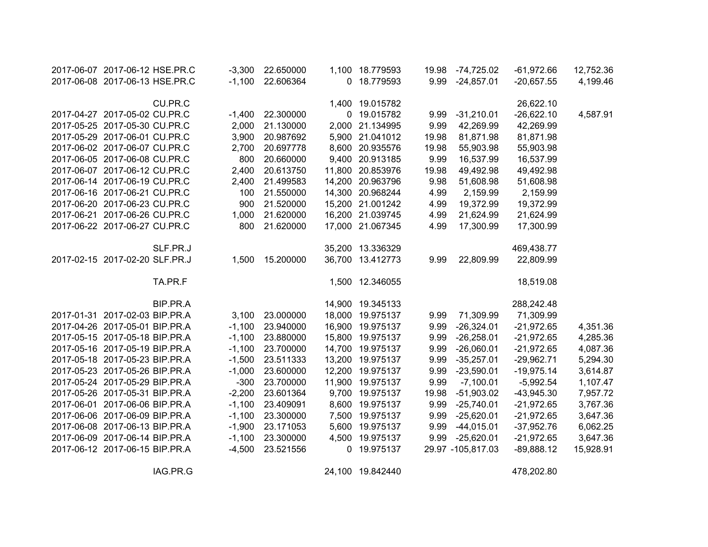| 2017-06-07 2017-06-12 HSE.PR.C |          | $-3,300$ | 22.650000 |        | 1,100 18.779593  | 19.98 | $-74,725.02$       | $-61,972.66$ | 12,752.36 |
|--------------------------------|----------|----------|-----------|--------|------------------|-------|--------------------|--------------|-----------|
| 2017-06-08 2017-06-13 HSE.PR.C |          | $-1,100$ | 22.606364 |        | 0 18.779593      | 9.99  | $-24,857.01$       | $-20,657.55$ | 4,199.46  |
|                                |          |          |           |        |                  |       |                    |              |           |
|                                | CU.PR.C  |          |           |        | 1,400 19.015782  |       |                    | 26,622.10    |           |
| 2017-04-27 2017-05-02 CU.PR.C  |          | $-1,400$ | 22.300000 | 0      | 19.015782        | 9.99  | $-31,210.01$       | $-26,622.10$ | 4,587.91  |
| 2017-05-25 2017-05-30 CU.PR.C  |          | 2,000    | 21.130000 | 2,000  | 21.134995        | 9.99  | 42,269.99          | 42,269.99    |           |
| 2017-05-29 2017-06-01 CU.PR.C  |          | 3,900    | 20.987692 | 5,900  | 21.041012        | 19.98 | 81,871.98          | 81,871.98    |           |
| 2017-06-02 2017-06-07 CU.PR.C  |          | 2,700    | 20.697778 |        | 8,600 20.935576  | 19.98 | 55,903.98          | 55,903.98    |           |
| 2017-06-05 2017-06-08 CU.PR.C  |          | 800      | 20.660000 |        | 9,400 20.913185  | 9.99  | 16,537.99          | 16,537.99    |           |
| 2017-06-07 2017-06-12 CU.PR.C  |          | 2,400    | 20.613750 | 11,800 | 20.853976        | 19.98 | 49,492.98          | 49,492.98    |           |
| 2017-06-14 2017-06-19 CU.PR.C  |          | 2,400    | 21.499583 | 14,200 | 20.963796        | 9.98  | 51,608.98          | 51,608.98    |           |
| 2017-06-16 2017-06-21 CU.PR.C  |          | 100      | 21.550000 | 14,300 | 20.968244        | 4.99  | 2,159.99           | 2,159.99     |           |
| 2017-06-20 2017-06-23 CU.PR.C  |          | 900      | 21.520000 | 15,200 | 21.001242        | 4.99  | 19,372.99          | 19,372.99    |           |
| 2017-06-21 2017-06-26 CU.PR.C  |          | 1,000    | 21.620000 | 16,200 | 21.039745        | 4.99  | 21,624.99          | 21,624.99    |           |
| 2017-06-22 2017-06-27 CU.PR.C  |          | 800      | 21.620000 |        | 17,000 21.067345 | 4.99  | 17,300.99          | 17,300.99    |           |
|                                |          |          |           |        |                  |       |                    |              |           |
|                                | SLF.PR.J |          |           | 35,200 | 13.336329        |       |                    | 469,438.77   |           |
| 2017-02-15 2017-02-20 SLF.PR.J |          | 1,500    | 15.200000 | 36,700 | 13.412773        | 9.99  | 22,809.99          | 22,809.99    |           |
|                                |          |          |           |        |                  |       |                    |              |           |
|                                | TA.PR.F  |          |           |        | 1,500 12.346055  |       |                    | 18,519.08    |           |
|                                |          |          |           |        |                  |       |                    |              |           |
|                                | BIP.PR.A |          |           |        | 14,900 19.345133 |       |                    | 288,242.48   |           |
| 2017-01-31 2017-02-03 BIP.PR.A |          | 3,100    | 23.000000 | 18,000 | 19.975137        | 9.99  | 71,309.99          | 71,309.99    |           |
| 2017-04-26 2017-05-01 BIP.PR.A |          | $-1,100$ | 23.940000 | 16,900 | 19.975137        | 9.99  | $-26,324.01$       | $-21,972.65$ | 4,351.36  |
| 2017-05-15 2017-05-18 BIP.PR.A |          | $-1,100$ | 23.880000 | 15,800 | 19.975137        | 9.99  | $-26,258.01$       | $-21,972.65$ | 4,285.36  |
| 2017-05-16 2017-05-19 BIP.PR.A |          | $-1,100$ | 23.700000 | 14,700 | 19.975137        | 9.99  | $-26,060.01$       | $-21,972.65$ | 4,087.36  |
| 2017-05-18 2017-05-23 BIP.PR.A |          | $-1,500$ | 23.511333 | 13,200 | 19.975137        | 9.99  | $-35,257.01$       | $-29,962.71$ | 5,294.30  |
| 2017-05-23 2017-05-26 BIP.PR.A |          | $-1,000$ | 23.600000 | 12,200 | 19.975137        | 9.99  | $-23,590.01$       | $-19,975.14$ | 3,614.87  |
| 2017-05-24 2017-05-29 BIP.PR.A |          | $-300$   | 23.700000 | 11,900 | 19.975137        | 9.99  | $-7,100.01$        | $-5,992.54$  | 1,107.47  |
| 2017-05-26 2017-05-31 BIP.PR.A |          | $-2,200$ | 23.601364 | 9,700  | 19.975137        | 19.98 | $-51,903.02$       | $-43,945.30$ | 7,957.72  |
| 2017-06-01 2017-06-06 BIP.PR.A |          | $-1,100$ | 23.409091 | 8,600  | 19.975137        | 9.99  | $-25,740.01$       | $-21,972.65$ | 3,767.36  |
| 2017-06-06 2017-06-09 BIP.PR.A |          | $-1,100$ | 23.300000 | 7,500  | 19.975137        | 9.99  | $-25,620.01$       | $-21,972.65$ | 3,647.36  |
| 2017-06-08 2017-06-13 BIP.PR.A |          | $-1,900$ | 23.171053 | 5,600  | 19.975137        | 9.99  | $-44,015.01$       | $-37,952.76$ | 6,062.25  |
| 2017-06-09 2017-06-14 BIP.PR.A |          | $-1,100$ | 23.300000 | 4,500  | 19.975137        | 9.99  | $-25,620.01$       | $-21,972.65$ | 3,647.36  |
| 2017-06-12 2017-06-15 BIP.PR.A |          | $-4,500$ | 23.521556 | 0      | 19.975137        |       | 29.97 - 105,817.03 | $-89,888.12$ | 15,928.91 |
|                                |          |          |           |        |                  |       |                    |              |           |

IAG.PR.G 24,100 19.842440 478,202.80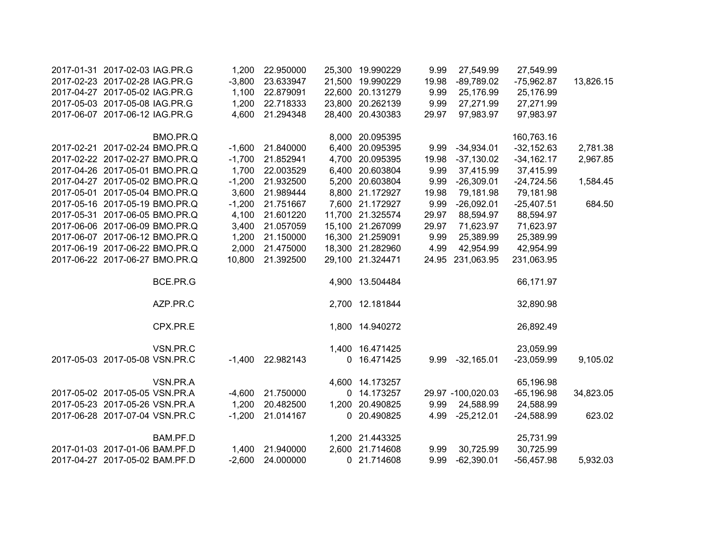| 2017-01-31 2017-02-03 IAG.PR.G | 1,200    | 22.950000 |       | 25,300 19.990229 | 9.99  | 27,549.99         | 27,549.99    |           |
|--------------------------------|----------|-----------|-------|------------------|-------|-------------------|--------------|-----------|
| 2017-02-23 2017-02-28 IAG.PR.G | $-3,800$ | 23.633947 |       | 21,500 19.990229 | 19.98 | $-89,789.02$      | $-75,962.87$ | 13,826.15 |
| 2017-04-27 2017-05-02 IAG.PR.G | 1,100    | 22.879091 |       | 22,600 20.131279 | 9.99  | 25,176.99         | 25,176.99    |           |
| 2017-05-03 2017-05-08 IAG.PR.G | 1,200    | 22.718333 |       | 23,800 20.262139 | 9.99  | 27,271.99         | 27,271.99    |           |
| 2017-06-07 2017-06-12 IAG.PR.G | 4,600    | 21.294348 |       | 28,400 20.430383 | 29.97 | 97,983.97         | 97,983.97    |           |
| BMO.PR.Q                       |          |           |       | 8,000 20.095395  |       |                   | 160,763.16   |           |
| 2017-02-21 2017-02-24 BMO.PR.Q | $-1,600$ | 21.840000 | 6,400 | 20.095395        | 9.99  | $-34,934.01$      | $-32,152.63$ | 2,781.38  |
| 2017-02-22 2017-02-27 BMO.PR.Q | $-1,700$ | 21.852941 |       | 4,700 20.095395  | 19.98 | $-37,130.02$      | $-34,162.17$ | 2,967.85  |
| 2017-04-26 2017-05-01 BMO.PR.Q | 1,700    | 22.003529 |       | 6,400 20.603804  | 9.99  | 37,415.99         | 37,415.99    |           |
| 2017-04-27 2017-05-02 BMO.PR.Q | $-1,200$ | 21.932500 |       | 5,200 20.603804  | 9.99  | $-26,309.01$      | $-24,724.56$ | 1,584.45  |
| 2017-05-01 2017-05-04 BMO.PR.Q | 3,600    | 21.989444 |       | 8,800 21.172927  | 19.98 | 79,181.98         | 79,181.98    |           |
| 2017-05-16 2017-05-19 BMO.PR.Q | $-1,200$ | 21.751667 |       | 7,600 21.172927  | 9.99  | $-26,092.01$      | $-25,407.51$ | 684.50    |
| 2017-05-31 2017-06-05 BMO.PR.Q | 4,100    | 21.601220 |       | 11,700 21.325574 | 29.97 | 88,594.97         | 88,594.97    |           |
| 2017-06-06 2017-06-09 BMO.PR.Q | 3,400    | 21.057059 |       | 15,100 21.267099 | 29.97 | 71,623.97         | 71,623.97    |           |
| 2017-06-07 2017-06-12 BMO.PR.Q | 1,200    | 21.150000 |       | 16,300 21.259091 | 9.99  | 25,389.99         | 25,389.99    |           |
| 2017-06-19 2017-06-22 BMO.PR.Q | 2,000    | 21.475000 |       | 18,300 21.282960 | 4.99  | 42,954.99         | 42,954.99    |           |
| 2017-06-22 2017-06-27 BMO.PR.Q | 10,800   | 21.392500 |       | 29,100 21.324471 | 24.95 | 231,063.95        | 231,063.95   |           |
| BCE.PR.G                       |          |           |       | 4,900 13.504484  |       |                   | 66,171.97    |           |
| AZP.PR.C                       |          |           |       | 2,700 12.181844  |       |                   | 32,890.98    |           |
| CPX.PR.E                       |          |           |       | 1,800 14.940272  |       |                   | 26,892.49    |           |
| VSN.PR.C                       |          |           |       | 1,400 16.471425  |       |                   | 23,059.99    |           |
| 2017-05-03 2017-05-08 VSN.PR.C | $-1,400$ | 22.982143 | 0     | 16.471425        | 9.99  | $-32,165.01$      | $-23,059.99$ | 9,105.02  |
| VSN.PR.A                       |          |           |       | 4,600 14.173257  |       |                   | 65,196.98    |           |
| 2017-05-02 2017-05-05 VSN.PR.A | $-4,600$ | 21.750000 | 0     | 14.173257        |       | 29.97 -100,020.03 | $-65,196.98$ | 34,823.05 |
| 2017-05-23 2017-05-26 VSN.PR.A | 1,200    | 20.482500 |       | 1,200 20.490825  | 9.99  | 24,588.99         | 24,588.99    |           |
| 2017-06-28 2017-07-04 VSN.PR.C | $-1,200$ | 21.014167 |       | 0 20.490825      | 4.99  | $-25,212.01$      | $-24,588.99$ | 623.02    |
| BAM.PF.D                       |          |           |       | 1,200 21.443325  |       |                   | 25,731.99    |           |
| 2017-01-03 2017-01-06 BAM.PF.D | 1,400    | 21.940000 |       | 2,600 21.714608  | 9.99  | 30,725.99         | 30,725.99    |           |
| 2017-04-27 2017-05-02 BAM.PF.D | $-2,600$ | 24.000000 |       | 0 21.714608      | 9.99  | $-62,390.01$      | $-56,457.98$ | 5,932.03  |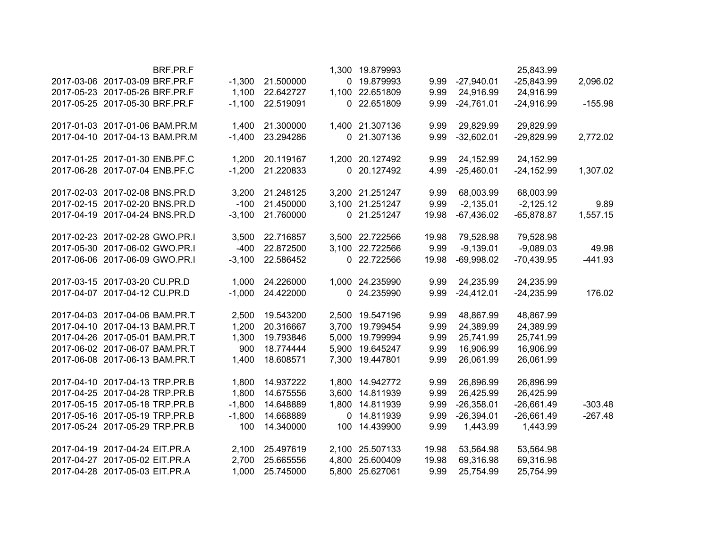|                                |                                | BRF.PR.F |          |           |             | 1,300 19.879993 |       |              | 25,843.99    |           |
|--------------------------------|--------------------------------|----------|----------|-----------|-------------|-----------------|-------|--------------|--------------|-----------|
| 2017-03-06 2017-03-09 BRF.PR.F |                                |          | $-1,300$ | 21.500000 |             | 0 19.879993     | 9.99  | $-27,940.01$ | $-25,843.99$ | 2,096.02  |
| 2017-05-23 2017-05-26 BRF.PR.F |                                |          | 1,100    | 22.642727 |             | 1,100 22.651809 | 9.99  | 24,916.99    | 24,916.99    |           |
|                                | 2017-05-25 2017-05-30 BRF.PR.F |          | $-1,100$ | 22.519091 |             | 0 22.651809     | 9.99  | $-24,761.01$ | $-24,916.99$ | $-155.98$ |
|                                |                                |          |          |           |             |                 |       |              |              |           |
| 2017-01-03 2017-01-06 BAM.PR.M |                                |          | 1,400    | 21.300000 |             | 1,400 21.307136 | 9.99  | 29,829.99    | 29,829.99    |           |
|                                | 2017-04-10 2017-04-13 BAM.PR.M |          | $-1,400$ | 23.294286 |             | 0 21.307136     | 9.99  | $-32,602.01$ | $-29,829.99$ | 2,772.02  |
|                                | 2017-01-25 2017-01-30 ENB.PF.C |          | 1,200    | 20.119167 |             | 1,200 20.127492 | 9.99  | 24,152.99    | 24,152.99    |           |
|                                | 2017-06-28 2017-07-04 ENB.PF.C |          | $-1,200$ | 21.220833 |             | 0 20.127492     | 4.99  | $-25,460.01$ | $-24,152.99$ | 1,307.02  |
| 2017-02-03 2017-02-08 BNS.PR.D |                                |          | 3,200    | 21.248125 |             | 3,200 21.251247 | 9.99  | 68,003.99    | 68,003.99    |           |
|                                | 2017-02-15 2017-02-20 BNS.PR.D |          | $-100$   | 21.450000 |             | 3,100 21.251247 | 9.99  | $-2,135.01$  | $-2,125.12$  | 9.89      |
|                                | 2017-04-19 2017-04-24 BNS.PR.D |          | $-3,100$ | 21.760000 |             | 0 21.251247     | 19.98 | $-67,436.02$ | $-65,878.87$ | 1,557.15  |
|                                |                                |          |          |           |             |                 |       |              |              |           |
| 2017-02-23 2017-02-28 GWO.PR.I |                                |          | 3,500    | 22.716857 |             | 3,500 22.722566 | 19.98 | 79,528.98    | 79,528.98    |           |
|                                | 2017-05-30 2017-06-02 GWO.PR.I |          | $-400$   | 22.872500 |             | 3,100 22.722566 | 9.99  | $-9,139.01$  | $-9,089.03$  | 49.98     |
|                                | 2017-06-06 2017-06-09 GWO.PR.I |          | $-3,100$ | 22.586452 |             | 0 22.722566     | 19.98 | $-69,998.02$ | $-70,439.95$ | $-441.93$ |
| 2017-03-15 2017-03-20 CU.PR.D  |                                |          | 1,000    | 24.226000 |             | 1,000 24.235990 | 9.99  | 24,235.99    | 24,235.99    |           |
|                                | 2017-04-07 2017-04-12 CU.PR.D  |          | $-1,000$ | 24.422000 |             | 0 24.235990     | 9.99  | $-24,412.01$ | $-24,235.99$ | 176.02    |
| 2017-04-03 2017-04-06 BAM.PR.T |                                |          | 2,500    | 19.543200 |             | 2,500 19.547196 | 9.99  | 48,867.99    | 48,867.99    |           |
| 2017-04-10 2017-04-13 BAM.PR.T |                                |          | 1,200    | 20.316667 | 3,700       | 19.799454       | 9.99  | 24,389.99    | 24,389.99    |           |
|                                | 2017-04-26 2017-05-01 BAM.PR.T |          | 1,300    | 19.793846 | 5,000       | 19.799994       | 9.99  | 25,741.99    | 25,741.99    |           |
|                                | 2017-06-02 2017-06-07 BAM.PR.T |          | 900      | 18.774444 | 5,900       | 19.645247       | 9.99  | 16,906.99    | 16,906.99    |           |
|                                | 2017-06-08 2017-06-13 BAM.PR.T |          | 1,400    | 18.608571 | 7,300       | 19.447801       | 9.99  | 26,061.99    | 26,061.99    |           |
|                                |                                |          |          |           |             |                 |       |              |              |           |
| 2017-04-10 2017-04-13 TRP.PR.B |                                |          | 1,800    | 14.937222 |             | 1,800 14.942772 | 9.99  | 26,896.99    | 26,896.99    |           |
|                                | 2017-04-25 2017-04-28 TRP.PR.B |          | 1,800    | 14.675556 |             | 3,600 14.811939 | 9.99  | 26,425.99    | 26,425.99    |           |
|                                | 2017-05-15 2017-05-18 TRP.PR.B |          | $-1,800$ | 14.648889 |             | 1,800 14.811939 | 9.99  | $-26,358.01$ | $-26,661.49$ | $-303.48$ |
|                                | 2017-05-16 2017-05-19 TRP.PR.B |          | $-1,800$ | 14.668889 | $\mathbf 0$ | 14.811939       | 9.99  | $-26,394.01$ | $-26,661.49$ | $-267.48$ |
|                                | 2017-05-24 2017-05-29 TRP.PR.B |          | 100      | 14.340000 |             | 100 14.439900   | 9.99  | 1,443.99     | 1,443.99     |           |
| 2017-04-19 2017-04-24 EIT.PR.A |                                |          | 2,100    | 25.497619 |             | 2,100 25.507133 | 19.98 | 53,564.98    | 53,564.98    |           |
|                                | 2017-04-27 2017-05-02 EIT.PR.A |          | 2,700    | 25.665556 |             | 4,800 25.600409 | 19.98 | 69,316.98    | 69,316.98    |           |
|                                | 2017-04-28 2017-05-03 EIT.PR.A |          | 1,000    | 25.745000 |             | 5,800 25.627061 | 9.99  | 25,754.99    | 25,754.99    |           |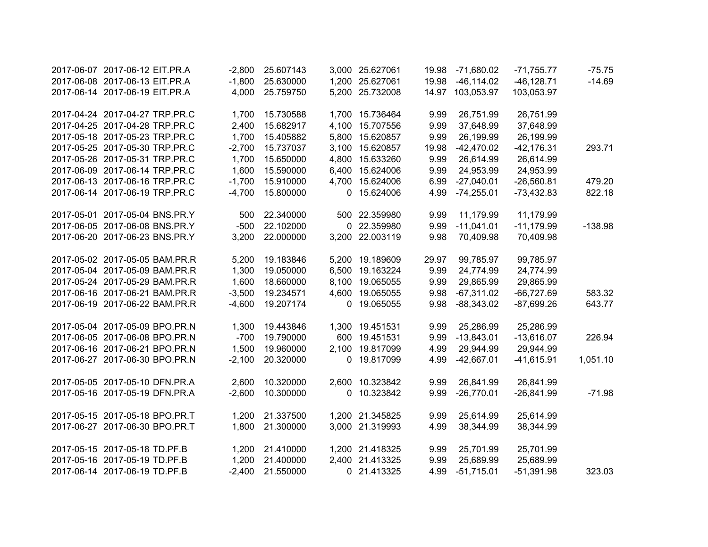| 2017-06-07 2017-06-12 EIT.PR.A | $-2,800$ | 25.607143 | 3,000 25.627061 | 19.98 | $-71,680.02$     | $-71,755.77$  | $-75.75$  |
|--------------------------------|----------|-----------|-----------------|-------|------------------|---------------|-----------|
| 2017-06-08 2017-06-13 EIT.PR.A | $-1,800$ | 25.630000 | 1,200 25.627061 | 19.98 | $-46, 114.02$    | $-46, 128.71$ | $-14.69$  |
| 2017-06-14 2017-06-19 EIT.PR.A | 4,000    | 25.759750 | 5,200 25.732008 |       | 14.97 103,053.97 | 103,053.97    |           |
| 2017-04-24 2017-04-27 TRP.PR.C | 1,700    | 15.730588 | 1,700 15.736464 | 9.99  | 26,751.99        | 26,751.99     |           |
| 2017-04-25 2017-04-28 TRP.PR.C | 2,400    | 15.682917 | 4,100 15.707556 | 9.99  | 37,648.99        | 37,648.99     |           |
| 2017-05-18 2017-05-23 TRP.PR.C | 1,700    | 15.405882 | 5,800 15.620857 | 9.99  | 26,199.99        | 26,199.99     |           |
| 2017-05-25 2017-05-30 TRP.PR.C | $-2,700$ | 15.737037 | 3,100 15.620857 | 19.98 | $-42,470.02$     | $-42, 176.31$ | 293.71    |
| 2017-05-26 2017-05-31 TRP.PR.C | 1,700    | 15.650000 | 4,800 15.633260 | 9.99  | 26,614.99        | 26,614.99     |           |
| 2017-06-09 2017-06-14 TRP.PR.C | 1,600    | 15.590000 | 6,400 15.624006 | 9.99  | 24,953.99        | 24,953.99     |           |
| 2017-06-13 2017-06-16 TRP.PR.C | $-1,700$ | 15.910000 | 4,700 15.624006 | 6.99  | $-27,040.01$     | $-26,560.81$  | 479.20    |
| 2017-06-14 2017-06-19 TRP.PR.C | $-4,700$ | 15.800000 | 0 15.624006     | 4.99  | $-74,255.01$     | $-73,432.83$  | 822.18    |
| 2017-05-01 2017-05-04 BNS.PR.Y | 500      | 22.340000 | 500 22.359980   | 9.99  | 11,179.99        | 11,179.99     |           |
| 2017-06-05 2017-06-08 BNS.PR.Y | $-500$   | 22.102000 | 0 22.359980     | 9.99  | $-11,041.01$     | $-11,179.99$  | $-138.98$ |
| 2017-06-20 2017-06-23 BNS.PR.Y | 3,200    | 22.000000 | 3,200 22.003119 | 9.98  | 70,409.98        | 70,409.98     |           |
| 2017-05-02 2017-05-05 BAM.PR.R | 5,200    | 19.183846 | 5,200 19.189609 | 29.97 | 99,785.97        | 99,785.97     |           |
| 2017-05-04 2017-05-09 BAM.PR.R | 1,300    | 19.050000 | 6,500 19.163224 | 9.99  | 24,774.99        | 24,774.99     |           |
| 2017-05-24 2017-05-29 BAM.PR.R | 1,600    | 18.660000 | 8,100 19.065055 | 9.99  | 29,865.99        | 29,865.99     |           |
| 2017-06-16 2017-06-21 BAM.PR.R | $-3,500$ | 19.234571 | 4,600 19.065055 | 9.98  | $-67,311.02$     | $-66,727.69$  | 583.32    |
| 2017-06-19 2017-06-22 BAM.PR.R | $-4,600$ | 19.207174 | 0 19.065055     | 9.98  | $-88,343.02$     | $-87,699.26$  | 643.77    |
| 2017-05-04 2017-05-09 BPO.PR.N | 1,300    | 19.443846 | 1,300 19.451531 | 9.99  | 25,286.99        | 25,286.99     |           |
| 2017-06-05 2017-06-08 BPO.PR.N | $-700$   | 19.790000 | 600 19.451531   | 9.99  | $-13,843.01$     | $-13,616.07$  | 226.94    |
| 2017-06-16 2017-06-21 BPO.PR.N | 1,500    | 19.960000 | 2,100 19.817099 | 4.99  | 29,944.99        | 29,944.99     |           |
| 2017-06-27 2017-06-30 BPO.PR.N | $-2,100$ | 20.320000 | 0 19.817099     | 4.99  | $-42,667.01$     | $-41,615.91$  | 1,051.10  |
| 2017-05-05 2017-05-10 DFN.PR.A | 2,600    | 10.320000 | 2,600 10.323842 | 9.99  | 26,841.99        | 26,841.99     |           |
| 2017-05-16 2017-05-19 DFN.PR.A | $-2,600$ | 10.300000 | 0 10.323842     | 9.99  | $-26,770.01$     | $-26,841.99$  | $-71.98$  |
| 2017-05-15 2017-05-18 BPO.PR.T | 1,200    | 21.337500 | 1,200 21.345825 | 9.99  | 25,614.99        | 25,614.99     |           |
| 2017-06-27 2017-06-30 BPO.PR.T | 1,800    | 21.300000 | 3,000 21.319993 | 4.99  | 38,344.99        | 38,344.99     |           |
| 2017-05-15 2017-05-18 TD.PF.B  | 1,200    | 21.410000 | 1,200 21.418325 | 9.99  | 25,701.99        | 25,701.99     |           |
| 2017-05-16 2017-05-19 TD.PF.B  | 1,200    | 21.400000 | 2,400 21.413325 | 9.99  | 25,689.99        | 25,689.99     |           |
| 2017-06-14 2017-06-19 TD.PF.B  | $-2,400$ | 21.550000 | 0 21.413325     | 4.99  | $-51,715.01$     | $-51,391.98$  | 323.03    |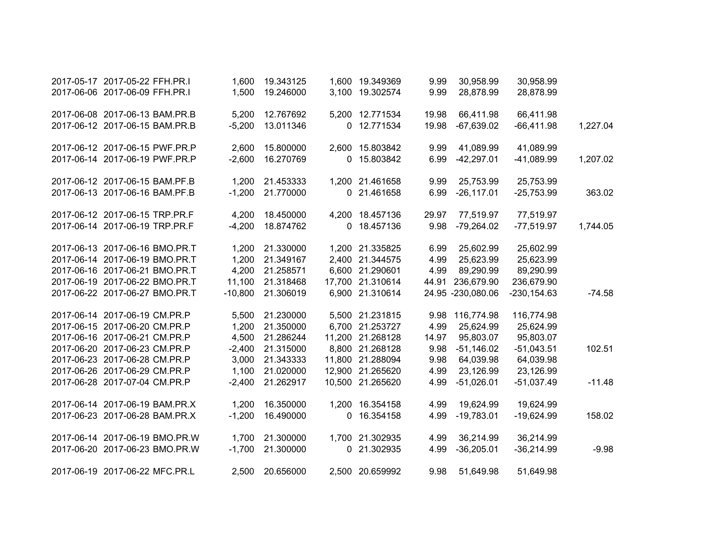|          | 30,958.99      | 30,958.99         | 9.99  | 1,600 19.349369  | 19.343125 | 1,600     | 2017-05-17 2017-05-22 FFH.PR.I |  |
|----------|----------------|-------------------|-------|------------------|-----------|-----------|--------------------------------|--|
|          | 28,878.99      | 28,878.99         | 9.99  | 3,100 19.302574  | 19.246000 | 1,500     | 2017-06-06 2017-06-09 FFH.PR.I |  |
|          | 66,411.98      | 66,411.98         | 19.98 | 5,200 12.771534  | 12.767692 | 5,200     | 2017-06-08 2017-06-13 BAM.PR.B |  |
| 1,227.04 | $-66,411.98$   | $-67,639.02$      | 19.98 | 0 12.771534      | 13.011346 | $-5,200$  | 2017-06-12 2017-06-15 BAM.PR.B |  |
|          |                |                   |       |                  |           |           |                                |  |
|          | 41,089.99      | 41,089.99         | 9.99  | 2,600 15.803842  | 15.800000 | 2,600     | 2017-06-12 2017-06-15 PWF.PR.P |  |
| 1,207.02 | $-41,089.99$   | $-42,297.01$      | 6.99  | 0 15.803842      | 16.270769 | $-2,600$  | 2017-06-14 2017-06-19 PWF.PR.P |  |
|          |                |                   |       |                  |           |           |                                |  |
|          | 25,753.99      | 25,753.99         | 9.99  | 1,200 21.461658  | 21.453333 | 1,200     | 2017-06-12 2017-06-15 BAM.PF.B |  |
| 363.02   | $-25,753.99$   | $-26, 117.01$     | 6.99  | 0 21.461658      | 21.770000 | $-1,200$  | 2017-06-13 2017-06-16 BAM.PF.B |  |
|          | 77,519.97      | 77,519.97         | 29.97 | 4,200 18.457136  | 18.450000 | 4,200     | 2017-06-12 2017-06-15 TRP.PR.F |  |
| 1,744.05 | $-77,519.97$   | $-79,264.02$      | 9.98  | 0 18.457136      | 18.874762 | $-4,200$  | 2017-06-14 2017-06-19 TRP.PR.F |  |
|          |                |                   |       |                  |           |           |                                |  |
|          | 25,602.99      | 25,602.99         | 6.99  | 1,200 21.335825  | 21.330000 | 1,200     | 2017-06-13 2017-06-16 BMO.PR.T |  |
|          | 25,623.99      | 25,623.99         | 4.99  | 2,400 21.344575  | 21.349167 | 1,200     | 2017-06-14 2017-06-19 BMO.PR.T |  |
|          | 89,290.99      | 89,290.99         | 4.99  | 6,600 21.290601  | 21.258571 | 4,200     | 2017-06-16 2017-06-21 BMO.PR.T |  |
|          | 236,679.90     | 236,679.90        | 44.91 | 17,700 21.310614 | 21.318468 | 11,100    | 2017-06-19 2017-06-22 BMO.PR.T |  |
| $-74.58$ | $-230, 154.63$ | 24.95 -230,080.06 |       | 6,900 21.310614  | 21.306019 | $-10,800$ | 2017-06-22 2017-06-27 BMO.PR.T |  |
|          |                |                   |       |                  |           |           |                                |  |
|          | 116,774.98     | 116,774.98        | 9.98  | 5,500 21.231815  | 21.230000 | 5,500     | 2017-06-14 2017-06-19 CM.PR.P  |  |
|          | 25,624.99      | 25,624.99         | 4.99  | 6,700 21.253727  | 21.350000 | 1,200     | 2017-06-15 2017-06-20 CM.PR.P  |  |
|          | 95,803.07      | 95,803.07         | 14.97 | 11,200 21.268128 | 21.286244 | 4,500     | 2017-06-16 2017-06-21 CM.PR.P  |  |
| 102.51   | $-51,043.51$   | $-51,146.02$      | 9.98  | 8,800 21.268128  | 21.315000 | $-2,400$  | 2017-06-20 2017-06-23 CM.PR.P  |  |
|          | 64,039.98      | 64,039.98         | 9.98  | 11,800 21.288094 | 21.343333 | 3,000     | 2017-06-23 2017-06-28 CM.PR.P  |  |
|          | 23,126.99      | 23,126.99         | 4.99  | 12,900 21.265620 | 21.020000 | 1,100     | 2017-06-26 2017-06-29 CM.PR.P  |  |
| $-11.48$ | $-51,037.49$   | $-51,026.01$      | 4.99  | 10,500 21.265620 | 21.262917 | $-2,400$  | 2017-06-28 2017-07-04 CM.PR.P  |  |
|          | 19,624.99      | 19,624.99         | 4.99  | 1,200 16.354158  | 16.350000 | 1,200     | 2017-06-14 2017-06-19 BAM.PR.X |  |
| 158.02   | $-19,624.99$   | $-19,783.01$      | 4.99  | 0 16.354158      | 16.490000 | $-1,200$  | 2017-06-23 2017-06-28 BAM.PR.X |  |
|          |                |                   |       |                  |           |           |                                |  |
|          | 36,214.99      | 36,214.99         | 4.99  | 1,700 21.302935  | 21.300000 | 1,700     | 2017-06-14 2017-06-19 BMO.PR.W |  |
| $-9.98$  | $-36,214.99$   | $-36,205.01$      | 4.99  | 0 21.302935      | 21.300000 | $-1,700$  | 2017-06-20 2017-06-23 BMO.PR.W |  |
|          | 51,649.98      | 51,649.98         | 9.98  | 2,500 20.659992  | 20.656000 | 2,500     | 2017-06-19 2017-06-22 MFC.PR.L |  |
|          |                |                   |       |                  |           |           |                                |  |